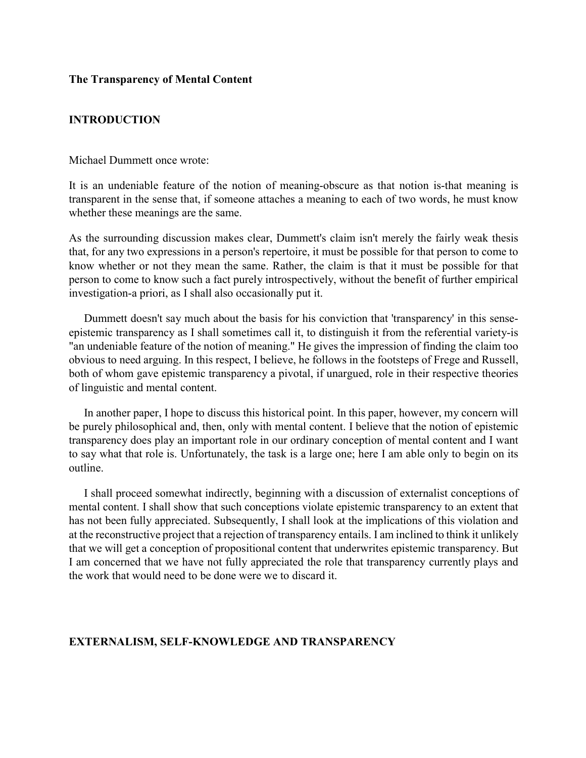### The Transparency of Mental Content

### INTRODUCTION

Michael Dummett once wrote:

It is an undeniable feature of the notion of meaning-obscure as that notion is-that meaning is transparent in the sense that, if someone attaches a meaning to each of two words, he must know whether these meanings are the same.

As the surrounding discussion makes clear, Dummett's claim isn't merely the fairly weak thesis that, for any two expressions in a person's repertoire, it must be possible for that person to come to know whether or not they mean the same. Rather, the claim is that it must be possible for that person to come to know such a fact purely introspectively, without the benefit of further empirical investigation-a priori, as I shall also occasionally put it.

Dummett doesn't say much about the basis for his conviction that 'transparency' in this senseepistemic transparency as I shall sometimes call it, to distinguish it from the referential variety-is "an undeniable feature of the notion of meaning." He gives the impression of finding the claim too obvious to need arguing. In this respect, I believe, he follows in the footsteps of Frege and Russell, both of whom gave epistemic transparency a pivotal, if unargued, role in their respective theories of linguistic and mental content.

In another paper, I hope to discuss this historical point. In this paper, however, my concern will be purely philosophical and, then, only with mental content. I believe that the notion of epistemic transparency does play an important role in our ordinary conception of mental content and I want to say what that role is. Unfortunately, the task is a large one; here I am able only to begin on its outline.

I shall proceed somewhat indirectly, beginning with a discussion of externalist conceptions of mental content. I shall show that such conceptions violate epistemic transparency to an extent that has not been fully appreciated. Subsequently, I shall look at the implications of this violation and at the reconstructive project that a rejection of transparency entails. I am inclined to think it unlikely that we will get a conception of propositional content that underwrites epistemic transparency. But I am concerned that we have not fully appreciated the role that transparency currently plays and the work that would need to be done were we to discard it.

## EXTERNALISM, SELF-KNOWLEDGE AND TRANSPARENCY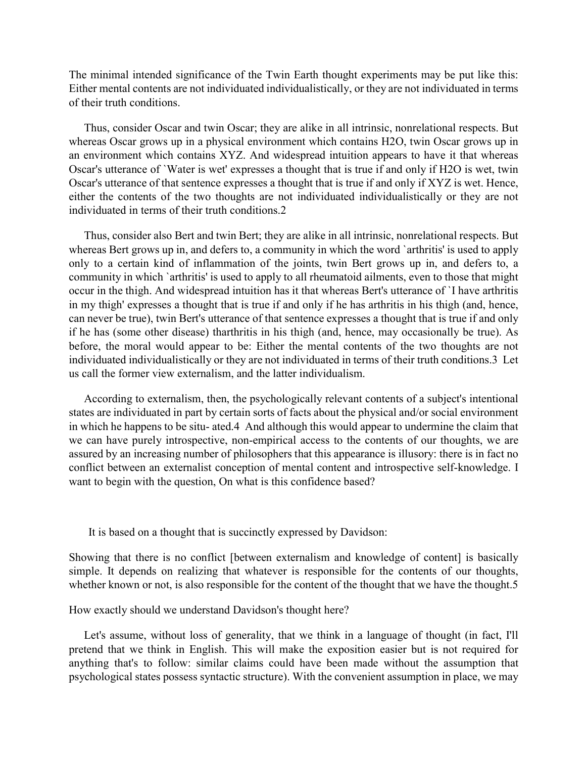The minimal intended significance of the Twin Earth thought experiments may be put like this: Either mental contents are not individuated individualistically, or they are not individuated in terms of their truth conditions.

Thus, consider Oscar and twin Oscar; they are alike in all intrinsic, nonrelational respects. But whereas Oscar grows up in a physical environment which contains H2O, twin Oscar grows up in an environment which contains XYZ. And widespread intuition appears to have it that whereas Oscar's utterance of `Water is wet' expresses a thought that is true if and only if H2O is wet, twin Oscar's utterance of that sentence expresses a thought that is true if and only if XYZ is wet. Hence, either the contents of the two thoughts are not individuated individualistically or they are not individuated in terms of their truth conditions.2

Thus, consider also Bert and twin Bert; they are alike in all intrinsic, nonrelational respects. But whereas Bert grows up in, and defers to, a community in which the word 'arthritis' is used to apply only to a certain kind of inflammation of the joints, twin Bert grows up in, and defers to, a community in which `arthritis' is used to apply to all rheumatoid ailments, even to those that might occur in the thigh. And widespread intuition has it that whereas Bert's utterance of `I have arthritis in my thigh' expresses a thought that is true if and only if he has arthritis in his thigh (and, hence, can never be true), twin Bert's utterance of that sentence expresses a thought that is true if and only if he has (some other disease) tharthritis in his thigh (and, hence, may occasionally be true). As before, the moral would appear to be: Either the mental contents of the two thoughts are not individuated individualistically or they are not individuated in terms of their truth conditions.3 Let us call the former view externalism, and the latter individualism.

According to externalism, then, the psychologically relevant contents of a subject's intentional states are individuated in part by certain sorts of facts about the physical and/or social environment in which he happens to be situ- ated.4 And although this would appear to undermine the claim that we can have purely introspective, non-empirical access to the contents of our thoughts, we are assured by an increasing number of philosophers that this appearance is illusory: there is in fact no conflict between an externalist conception of mental content and introspective self-knowledge. I want to begin with the question, On what is this confidence based?

It is based on a thought that is succinctly expressed by Davidson:

Showing that there is no conflict [between externalism and knowledge of content] is basically simple. It depends on realizing that whatever is responsible for the contents of our thoughts, whether known or not, is also responsible for the content of the thought that we have the thought.5

## How exactly should we understand Davidson's thought here?

Let's assume, without loss of generality, that we think in a language of thought (in fact, I'll pretend that we think in English. This will make the exposition easier but is not required for anything that's to follow: similar claims could have been made without the assumption that psychological states possess syntactic structure). With the convenient assumption in place, we may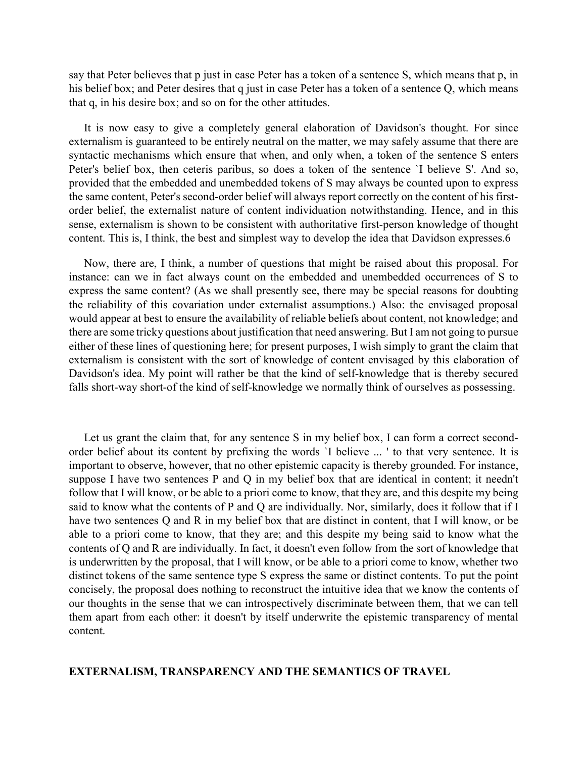say that Peter believes that p just in case Peter has a token of a sentence S, which means that p, in his belief box; and Peter desires that q just in case Peter has a token of a sentence Q, which means that q, in his desire box; and so on for the other attitudes.

It is now easy to give a completely general elaboration of Davidson's thought. For since externalism is guaranteed to be entirely neutral on the matter, we may safely assume that there are syntactic mechanisms which ensure that when, and only when, a token of the sentence S enters Peter's belief box, then ceteris paribus, so does a token of the sentence `I believe S'. And so, provided that the embedded and unembedded tokens of S may always be counted upon to express the same content, Peter's second-order belief will always report correctly on the content of his firstorder belief, the externalist nature of content individuation notwithstanding. Hence, and in this sense, externalism is shown to be consistent with authoritative first-person knowledge of thought content. This is, I think, the best and simplest way to develop the idea that Davidson expresses.6

Now, there are, I think, a number of questions that might be raised about this proposal. For instance: can we in fact always count on the embedded and unembedded occurrences of S to express the same content? (As we shall presently see, there may be special reasons for doubting the reliability of this covariation under externalist assumptions.) Also: the envisaged proposal would appear at best to ensure the availability of reliable beliefs about content, not knowledge; and there are some tricky questions about justification that need answering. But I am not going to pursue either of these lines of questioning here; for present purposes, I wish simply to grant the claim that externalism is consistent with the sort of knowledge of content envisaged by this elaboration of Davidson's idea. My point will rather be that the kind of self-knowledge that is thereby secured falls short-way short-of the kind of self-knowledge we normally think of ourselves as possessing.

Let us grant the claim that, for any sentence S in my belief box, I can form a correct secondorder belief about its content by prefixing the words `I believe ... ' to that very sentence. It is important to observe, however, that no other epistemic capacity is thereby grounded. For instance, suppose I have two sentences P and Q in my belief box that are identical in content; it needn't follow that I will know, or be able to a priori come to know, that they are, and this despite my being said to know what the contents of P and Q are individually. Nor, similarly, does it follow that if I have two sentences Q and R in my belief box that are distinct in content, that I will know, or be able to a priori come to know, that they are; and this despite my being said to know what the contents of Q and R are individually. In fact, it doesn't even follow from the sort of knowledge that is underwritten by the proposal, that I will know, or be able to a priori come to know, whether two distinct tokens of the same sentence type S express the same or distinct contents. To put the point concisely, the proposal does nothing to reconstruct the intuitive idea that we know the contents of our thoughts in the sense that we can introspectively discriminate between them, that we can tell them apart from each other: it doesn't by itself underwrite the epistemic transparency of mental content.

#### EXTERNALISM, TRANSPARENCY AND THE SEMANTICS OF TRAVEL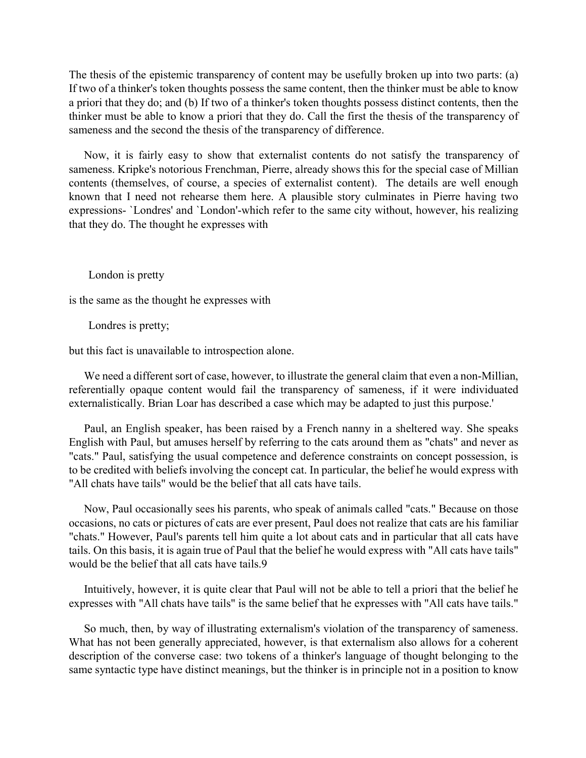The thesis of the epistemic transparency of content may be usefully broken up into two parts: (a) If two of a thinker's token thoughts possess the same content, then the thinker must be able to know a priori that they do; and (b) If two of a thinker's token thoughts possess distinct contents, then the thinker must be able to know a priori that they do. Call the first the thesis of the transparency of sameness and the second the thesis of the transparency of difference.

Now, it is fairly easy to show that externalist contents do not satisfy the transparency of sameness. Kripke's notorious Frenchman, Pierre, already shows this for the special case of Millian contents (themselves, of course, a species of externalist content). The details are well enough known that I need not rehearse them here. A plausible story culminates in Pierre having two expressions- `Londres' and `London'-which refer to the same city without, however, his realizing that they do. The thought he expresses with

London is pretty

is the same as the thought he expresses with

Londres is pretty;

but this fact is unavailable to introspection alone.

We need a different sort of case, however, to illustrate the general claim that even a non-Millian, referentially opaque content would fail the transparency of sameness, if it were individuated externalistically. Brian Loar has described a case which may be adapted to just this purpose.'

Paul, an English speaker, has been raised by a French nanny in a sheltered way. She speaks English with Paul, but amuses herself by referring to the cats around them as "chats" and never as "cats." Paul, satisfying the usual competence and deference constraints on concept possession, is to be credited with beliefs involving the concept cat. In particular, the belief he would express with "All chats have tails" would be the belief that all cats have tails.

Now, Paul occasionally sees his parents, who speak of animals called "cats." Because on those occasions, no cats or pictures of cats are ever present, Paul does not realize that cats are his familiar "chats." However, Paul's parents tell him quite a lot about cats and in particular that all cats have tails. On this basis, it is again true of Paul that the belief he would express with "All cats have tails" would be the belief that all cats have tails.9

Intuitively, however, it is quite clear that Paul will not be able to tell a priori that the belief he expresses with "All chats have tails" is the same belief that he expresses with "All cats have tails."

So much, then, by way of illustrating externalism's violation of the transparency of sameness. What has not been generally appreciated, however, is that externalism also allows for a coherent description of the converse case: two tokens of a thinker's language of thought belonging to the same syntactic type have distinct meanings, but the thinker is in principle not in a position to know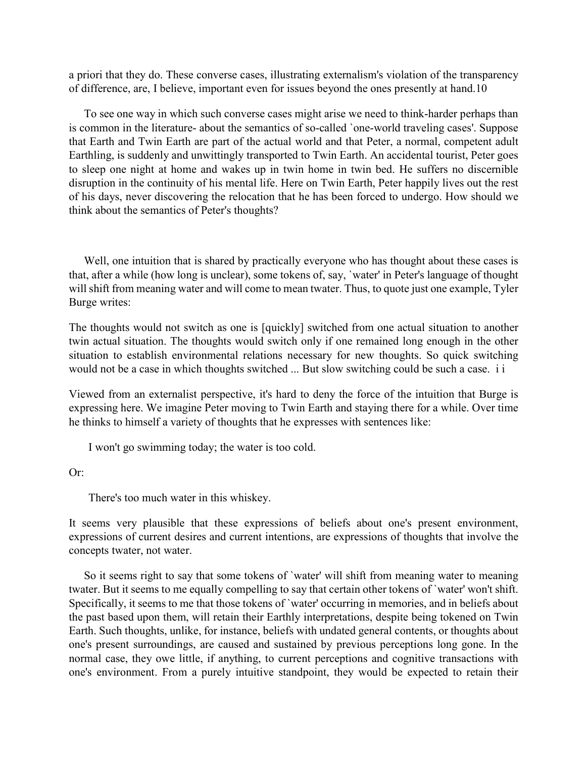a priori that they do. These converse cases, illustrating externalism's violation of the transparency of difference, are, I believe, important even for issues beyond the ones presently at hand.10

To see one way in which such converse cases might arise we need to think-harder perhaps than is common in the literature- about the semantics of so-called `one-world traveling cases'. Suppose that Earth and Twin Earth are part of the actual world and that Peter, a normal, competent adult Earthling, is suddenly and unwittingly transported to Twin Earth. An accidental tourist, Peter goes to sleep one night at home and wakes up in twin home in twin bed. He suffers no discernible disruption in the continuity of his mental life. Here on Twin Earth, Peter happily lives out the rest of his days, never discovering the relocation that he has been forced to undergo. How should we think about the semantics of Peter's thoughts?

Well, one intuition that is shared by practically everyone who has thought about these cases is that, after a while (how long is unclear), some tokens of, say, `water' in Peter's language of thought will shift from meaning water and will come to mean twater. Thus, to quote just one example, Tyler Burge writes:

The thoughts would not switch as one is [quickly] switched from one actual situation to another twin actual situation. The thoughts would switch only if one remained long enough in the other situation to establish environmental relations necessary for new thoughts. So quick switching would not be a case in which thoughts switched ... But slow switching could be such a case. i i

Viewed from an externalist perspective, it's hard to deny the force of the intuition that Burge is expressing here. We imagine Peter moving to Twin Earth and staying there for a while. Over time he thinks to himself a variety of thoughts that he expresses with sentences like:

I won't go swimming today; the water is too cold.

Or:

There's too much water in this whiskey.

It seems very plausible that these expressions of beliefs about one's present environment, expressions of current desires and current intentions, are expressions of thoughts that involve the concepts twater, not water.

So it seems right to say that some tokens of `water' will shift from meaning water to meaning twater. But it seems to me equally compelling to say that certain other tokens of `water' won't shift. Specifically, it seems to me that those tokens of `water' occurring in memories, and in beliefs about the past based upon them, will retain their Earthly interpretations, despite being tokened on Twin Earth. Such thoughts, unlike, for instance, beliefs with undated general contents, or thoughts about one's present surroundings, are caused and sustained by previous perceptions long gone. In the normal case, they owe little, if anything, to current perceptions and cognitive transactions with one's environment. From a purely intuitive standpoint, they would be expected to retain their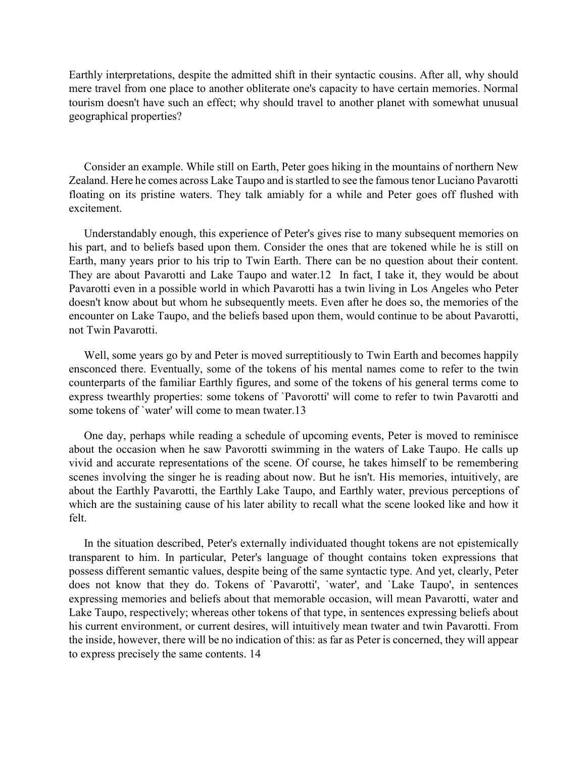Earthly interpretations, despite the admitted shift in their syntactic cousins. After all, why should mere travel from one place to another obliterate one's capacity to have certain memories. Normal tourism doesn't have such an effect; why should travel to another planet with somewhat unusual geographical properties?

Consider an example. While still on Earth, Peter goes hiking in the mountains of northern New Zealand. Here he comes across Lake Taupo and isstartled to see the famoustenor Luciano Pavarotti floating on its pristine waters. They talk amiably for a while and Peter goes off flushed with excitement.

Understandably enough, this experience of Peter's gives rise to many subsequent memories on his part, and to beliefs based upon them. Consider the ones that are tokened while he is still on Earth, many years prior to his trip to Twin Earth. There can be no question about their content. They are about Pavarotti and Lake Taupo and water.12 In fact, I take it, they would be about Pavarotti even in a possible world in which Pavarotti has a twin living in Los Angeles who Peter doesn't know about but whom he subsequently meets. Even after he does so, the memories of the encounter on Lake Taupo, and the beliefs based upon them, would continue to be about Pavarotti, not Twin Pavarotti.

Well, some years go by and Peter is moved surreptitiously to Twin Earth and becomes happily ensconced there. Eventually, some of the tokens of his mental names come to refer to the twin counterparts of the familiar Earthly figures, and some of the tokens of his general terms come to express twearthly properties: some tokens of `Pavorotti' will come to refer to twin Pavarotti and some tokens of `water' will come to mean twater.13

One day, perhaps while reading a schedule of upcoming events, Peter is moved to reminisce about the occasion when he saw Pavorotti swimming in the waters of Lake Taupo. He calls up vivid and accurate representations of the scene. Of course, he takes himself to be remembering scenes involving the singer he is reading about now. But he isn't. His memories, intuitively, are about the Earthly Pavarotti, the Earthly Lake Taupo, and Earthly water, previous perceptions of which are the sustaining cause of his later ability to recall what the scene looked like and how it felt.

In the situation described, Peter's externally individuated thought tokens are not epistemically transparent to him. In particular, Peter's language of thought contains token expressions that possess different semantic values, despite being of the same syntactic type. And yet, clearly, Peter does not know that they do. Tokens of `Pavarotti', `water', and `Lake Taupo', in sentences expressing memories and beliefs about that memorable occasion, will mean Pavarotti, water and Lake Taupo, respectively; whereas other tokens of that type, in sentences expressing beliefs about his current environment, or current desires, will intuitively mean twater and twin Pavarotti. From the inside, however, there will be no indication of this: as far as Peter is concerned, they will appear to express precisely the same contents. 14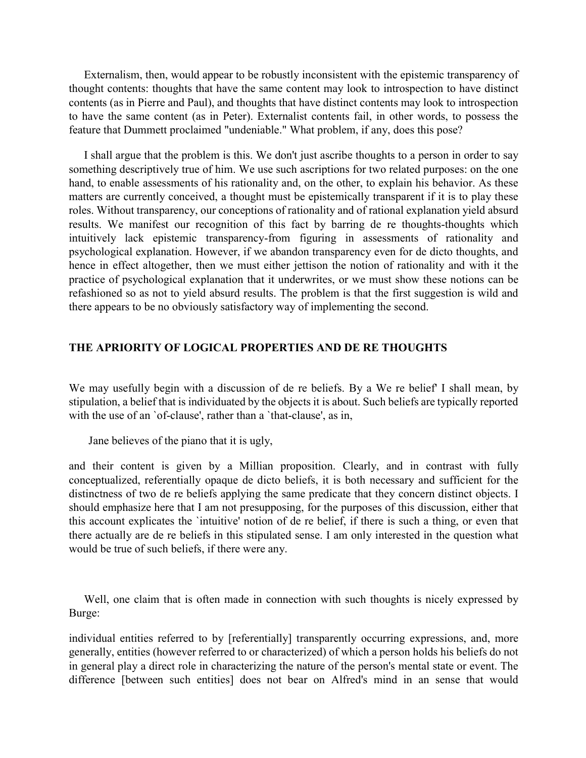Externalism, then, would appear to be robustly inconsistent with the epistemic transparency of thought contents: thoughts that have the same content may look to introspection to have distinct contents (as in Pierre and Paul), and thoughts that have distinct contents may look to introspection to have the same content (as in Peter). Externalist contents fail, in other words, to possess the feature that Dummett proclaimed "undeniable." What problem, if any, does this pose?

I shall argue that the problem is this. We don't just ascribe thoughts to a person in order to say something descriptively true of him. We use such ascriptions for two related purposes: on the one hand, to enable assessments of his rationality and, on the other, to explain his behavior. As these matters are currently conceived, a thought must be epistemically transparent if it is to play these roles. Without transparency, our conceptions of rationality and of rational explanation yield absurd results. We manifest our recognition of this fact by barring de re thoughts-thoughts which intuitively lack epistemic transparency-from figuring in assessments of rationality and psychological explanation. However, if we abandon transparency even for de dicto thoughts, and hence in effect altogether, then we must either jettison the notion of rationality and with it the practice of psychological explanation that it underwrites, or we must show these notions can be refashioned so as not to yield absurd results. The problem is that the first suggestion is wild and there appears to be no obviously satisfactory way of implementing the second.

## THE APRIORITY OF LOGICAL PROPERTIES AND DE RE THOUGHTS

We may usefully begin with a discussion of de re beliefs. By a We re belief' I shall mean, by stipulation, a belief that is individuated by the objects it is about. Such beliefs are typically reported with the use of an `of-clause', rather than a `that-clause', as in,

Jane believes of the piano that it is ugly,

and their content is given by a Millian proposition. Clearly, and in contrast with fully conceptualized, referentially opaque de dicto beliefs, it is both necessary and sufficient for the distinctness of two de re beliefs applying the same predicate that they concern distinct objects. I should emphasize here that I am not presupposing, for the purposes of this discussion, either that this account explicates the `intuitive' notion of de re belief, if there is such a thing, or even that there actually are de re beliefs in this stipulated sense. I am only interested in the question what would be true of such beliefs, if there were any.

Well, one claim that is often made in connection with such thoughts is nicely expressed by Burge:

individual entities referred to by [referentially] transparently occurring expressions, and, more generally, entities (however referred to or characterized) of which a person holds his beliefs do not in general play a direct role in characterizing the nature of the person's mental state or event. The difference [between such entities] does not bear on Alfred's mind in an sense that would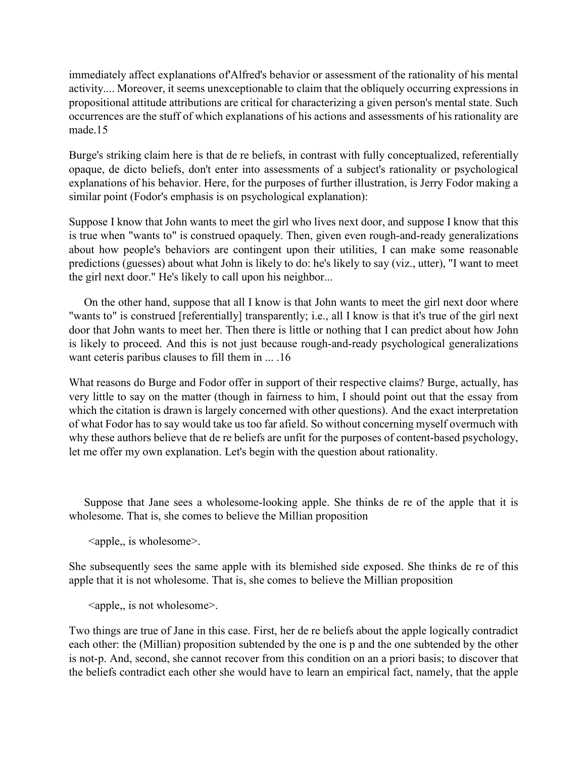immediately affect explanations of'Alfred's behavior or assessment of the rationality of his mental activity.... Moreover, it seems unexceptionable to claim that the obliquely occurring expressions in propositional attitude attributions are critical for characterizing a given person's mental state. Such occurrences are the stuff of which explanations of his actions and assessments of his rationality are made.15

Burge's striking claim here is that de re beliefs, in contrast with fully conceptualized, referentially opaque, de dicto beliefs, don't enter into assessments of a subject's rationality or psychological explanations of his behavior. Here, for the purposes of further illustration, is Jerry Fodor making a similar point (Fodor's emphasis is on psychological explanation):

Suppose I know that John wants to meet the girl who lives next door, and suppose I know that this is true when "wants to" is construed opaquely. Then, given even rough-and-ready generalizations about how people's behaviors are contingent upon their utilities, I can make some reasonable predictions (guesses) about what John is likely to do: he's likely to say (viz., utter), "I want to meet the girl next door." He's likely to call upon his neighbor...

On the other hand, suppose that all I know is that John wants to meet the girl next door where "wants to" is construed [referentially] transparently; i.e., all I know is that it's true of the girl next door that John wants to meet her. Then there is little or nothing that I can predict about how John is likely to proceed. And this is not just because rough-and-ready psychological generalizations want ceteris paribus clauses to fill them in ... .16

What reasons do Burge and Fodor offer in support of their respective claims? Burge, actually, has very little to say on the matter (though in fairness to him, I should point out that the essay from which the citation is drawn is largely concerned with other questions). And the exact interpretation of what Fodor has to say would take us too far afield. So without concerning myself overmuch with why these authors believe that de re beliefs are unfit for the purposes of content-based psychology, let me offer my own explanation. Let's begin with the question about rationality.

Suppose that Jane sees a wholesome-looking apple. She thinks de re of the apple that it is wholesome. That is, she comes to believe the Millian proposition

<apple,, is wholesome>.

She subsequently sees the same apple with its blemished side exposed. She thinks de re of this apple that it is not wholesome. That is, she comes to believe the Millian proposition

<apple,, is not wholesome>.

Two things are true of Jane in this case. First, her de re beliefs about the apple logically contradict each other: the (Millian) proposition subtended by the one is p and the one subtended by the other is not-p. And, second, she cannot recover from this condition on an a priori basis; to discover that the beliefs contradict each other she would have to learn an empirical fact, namely, that the apple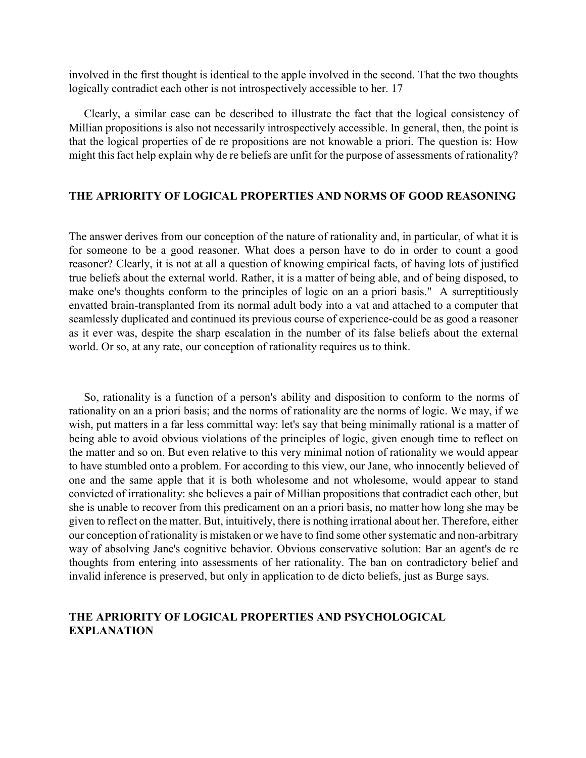involved in the first thought is identical to the apple involved in the second. That the two thoughts logically contradict each other is not introspectively accessible to her. 17

Clearly, a similar case can be described to illustrate the fact that the logical consistency of Millian propositions is also not necessarily introspectively accessible. In general, then, the point is that the logical properties of de re propositions are not knowable a priori. The question is: How might this fact help explain why de re beliefs are unfit for the purpose of assessments of rationality?

#### THE APRIORITY OF LOGICAL PROPERTIES AND NORMS OF GOOD REASONING

The answer derives from our conception of the nature of rationality and, in particular, of what it is for someone to be a good reasoner. What does a person have to do in order to count a good reasoner? Clearly, it is not at all a question of knowing empirical facts, of having lots of justified true beliefs about the external world. Rather, it is a matter of being able, and of being disposed, to make one's thoughts conform to the principles of logic on an a priori basis." A surreptitiously envatted brain-transplanted from its normal adult body into a vat and attached to a computer that seamlessly duplicated and continued its previous course of experience-could be as good a reasoner as it ever was, despite the sharp escalation in the number of its false beliefs about the external world. Or so, at any rate, our conception of rationality requires us to think.

So, rationality is a function of a person's ability and disposition to conform to the norms of rationality on an a priori basis; and the norms of rationality are the norms of logic. We may, if we wish, put matters in a far less committal way: let's say that being minimally rational is a matter of being able to avoid obvious violations of the principles of logic, given enough time to reflect on the matter and so on. But even relative to this very minimal notion of rationality we would appear to have stumbled onto a problem. For according to this view, our Jane, who innocently believed of one and the same apple that it is both wholesome and not wholesome, would appear to stand convicted of irrationality: she believes a pair of Millian propositions that contradict each other, but she is unable to recover from this predicament on an a priori basis, no matter how long she may be given to reflect on the matter. But, intuitively, there is nothing irrational about her. Therefore, either our conception of rationality is mistaken or we have to find some other systematic and non-arbitrary way of absolving Jane's cognitive behavior. Obvious conservative solution: Bar an agent's de re thoughts from entering into assessments of her rationality. The ban on contradictory belief and invalid inference is preserved, but only in application to de dicto beliefs, just as Burge says.

## THE APRIORITY OF LOGICAL PROPERTIES AND PSYCHOLOGICAL EXPLANATION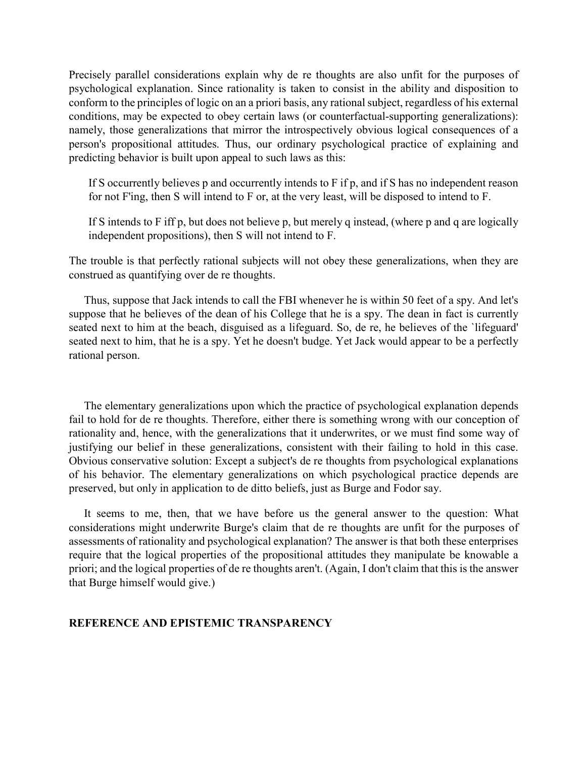Precisely parallel considerations explain why de re thoughts are also unfit for the purposes of psychological explanation. Since rationality is taken to consist in the ability and disposition to conform to the principles of logic on an a priori basis, any rational subject, regardless of his external conditions, may be expected to obey certain laws (or counterfactual-supporting generalizations): namely, those generalizations that mirror the introspectively obvious logical consequences of a person's propositional attitudes. Thus, our ordinary psychological practice of explaining and predicting behavior is built upon appeal to such laws as this:

If S occurrently believes p and occurrently intends to F if p, and if S has no independent reason for not F'ing, then S will intend to F or, at the very least, will be disposed to intend to F.

If S intends to F iff p, but does not believe p, but merely q instead, (where p and q are logically independent propositions), then S will not intend to F.

The trouble is that perfectly rational subjects will not obey these generalizations, when they are construed as quantifying over de re thoughts.

Thus, suppose that Jack intends to call the FBI whenever he is within 50 feet of a spy. And let's suppose that he believes of the dean of his College that he is a spy. The dean in fact is currently seated next to him at the beach, disguised as a lifeguard. So, de re, he believes of the `lifeguard' seated next to him, that he is a spy. Yet he doesn't budge. Yet Jack would appear to be a perfectly rational person.

The elementary generalizations upon which the practice of psychological explanation depends fail to hold for de re thoughts. Therefore, either there is something wrong with our conception of rationality and, hence, with the generalizations that it underwrites, or we must find some way of justifying our belief in these generalizations, consistent with their failing to hold in this case. Obvious conservative solution: Except a subject's de re thoughts from psychological explanations of his behavior. The elementary generalizations on which psychological practice depends are preserved, but only in application to de ditto beliefs, just as Burge and Fodor say.

It seems to me, then, that we have before us the general answer to the question: What considerations might underwrite Burge's claim that de re thoughts are unfit for the purposes of assessments of rationality and psychological explanation? The answer is that both these enterprises require that the logical properties of the propositional attitudes they manipulate be knowable a priori; and the logical properties of de re thoughts aren't. (Again, I don't claim that this is the answer that Burge himself would give.)

## REFERENCE AND EPISTEMIC TRANSPARENCY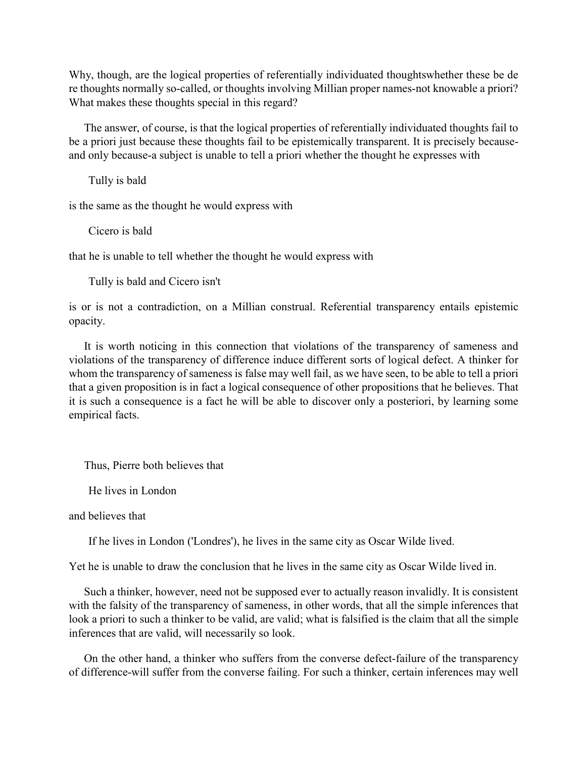Why, though, are the logical properties of referentially individuated thoughtswhether these be de re thoughts normally so-called, or thoughts involving Millian proper names-not knowable a priori? What makes these thoughts special in this regard?

The answer, of course, is that the logical properties of referentially individuated thoughts fail to be a priori just because these thoughts fail to be epistemically transparent. It is precisely becauseand only because-a subject is unable to tell a priori whether the thought he expresses with

Tully is bald

is the same as the thought he would express with

Cicero is bald

that he is unable to tell whether the thought he would express with

Tully is bald and Cicero isn't

is or is not a contradiction, on a Millian construal. Referential transparency entails epistemic opacity.

It is worth noticing in this connection that violations of the transparency of sameness and violations of the transparency of difference induce different sorts of logical defect. A thinker for whom the transparency of sameness is false may well fail, as we have seen, to be able to tell a priori that a given proposition is in fact a logical consequence of other propositions that he believes. That it is such a consequence is a fact he will be able to discover only a posteriori, by learning some empirical facts.

Thus, Pierre both believes that

He lives in London

and believes that

If he lives in London ('Londres'), he lives in the same city as Oscar Wilde lived.

Yet he is unable to draw the conclusion that he lives in the same city as Oscar Wilde lived in.

Such a thinker, however, need not be supposed ever to actually reason invalidly. It is consistent with the falsity of the transparency of sameness, in other words, that all the simple inferences that look a priori to such a thinker to be valid, are valid; what is falsified is the claim that all the simple inferences that are valid, will necessarily so look.

On the other hand, a thinker who suffers from the converse defect-failure of the transparency of difference-will suffer from the converse failing. For such a thinker, certain inferences may well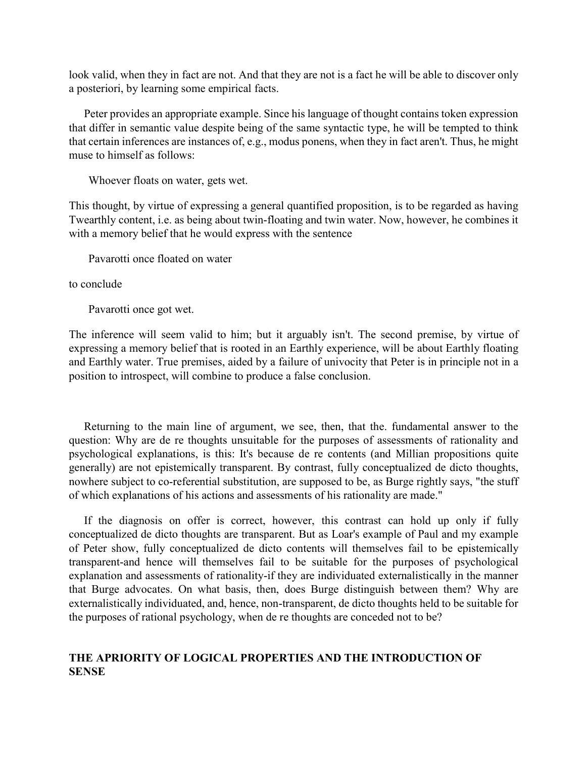look valid, when they in fact are not. And that they are not is a fact he will be able to discover only a posteriori, by learning some empirical facts.

Peter provides an appropriate example. Since his language of thought contains token expression that differ in semantic value despite being of the same syntactic type, he will be tempted to think that certain inferences are instances of, e.g., modus ponens, when they in fact aren't. Thus, he might muse to himself as follows:

Whoever floats on water, gets wet.

This thought, by virtue of expressing a general quantified proposition, is to be regarded as having Twearthly content, i.e. as being about twin-floating and twin water. Now, however, he combines it with a memory belief that he would express with the sentence

Pavarotti once floated on water

to conclude

Pavarotti once got wet.

The inference will seem valid to him; but it arguably isn't. The second premise, by virtue of expressing a memory belief that is rooted in an Earthly experience, will be about Earthly floating and Earthly water. True premises, aided by a failure of univocity that Peter is in principle not in a position to introspect, will combine to produce a false conclusion.

Returning to the main line of argument, we see, then, that the. fundamental answer to the question: Why are de re thoughts unsuitable for the purposes of assessments of rationality and psychological explanations, is this: It's because de re contents (and Millian propositions quite generally) are not epistemically transparent. By contrast, fully conceptualized de dicto thoughts, nowhere subject to co-referential substitution, are supposed to be, as Burge rightly says, "the stuff of which explanations of his actions and assessments of his rationality are made."

If the diagnosis on offer is correct, however, this contrast can hold up only if fully conceptualized de dicto thoughts are transparent. But as Loar's example of Paul and my example of Peter show, fully conceptualized de dicto contents will themselves fail to be epistemically transparent-and hence will themselves fail to be suitable for the purposes of psychological explanation and assessments of rationality-if they are individuated externalistically in the manner that Burge advocates. On what basis, then, does Burge distinguish between them? Why are externalistically individuated, and, hence, non-transparent, de dicto thoughts held to be suitable for the purposes of rational psychology, when de re thoughts are conceded not to be?

# THE APRIORITY OF LOGICAL PROPERTIES AND THE INTRODUCTION OF **SENSE**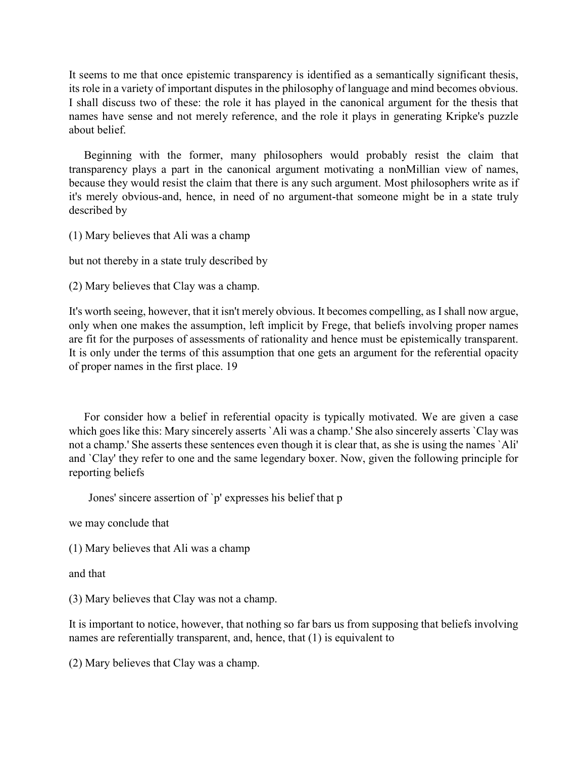It seems to me that once epistemic transparency is identified as a semantically significant thesis, its role in a variety of important disputes in the philosophy of language and mind becomes obvious. I shall discuss two of these: the role it has played in the canonical argument for the thesis that names have sense and not merely reference, and the role it plays in generating Kripke's puzzle about belief.

Beginning with the former, many philosophers would probably resist the claim that transparency plays a part in the canonical argument motivating a nonMillian view of names, because they would resist the claim that there is any such argument. Most philosophers write as if it's merely obvious-and, hence, in need of no argument-that someone might be in a state truly described by

(1) Mary believes that Ali was a champ

but not thereby in a state truly described by

(2) Mary believes that Clay was a champ.

It's worth seeing, however, that it isn't merely obvious. It becomes compelling, as I shall now argue, only when one makes the assumption, left implicit by Frege, that beliefs involving proper names are fit for the purposes of assessments of rationality and hence must be epistemically transparent. It is only under the terms of this assumption that one gets an argument for the referential opacity of proper names in the first place. 19

For consider how a belief in referential opacity is typically motivated. We are given a case which goes like this: Mary sincerely asserts `Ali was a champ.' She also sincerely asserts `Clay was not a champ.' She asserts these sentences even though it is clear that, as she is using the names `Ali' and `Clay' they refer to one and the same legendary boxer. Now, given the following principle for reporting beliefs

Jones' sincere assertion of `p' expresses his belief that p

we may conclude that

(1) Mary believes that Ali was a champ

and that

(3) Mary believes that Clay was not a champ.

It is important to notice, however, that nothing so far bars us from supposing that beliefs involving names are referentially transparent, and, hence, that (1) is equivalent to

(2) Mary believes that Clay was a champ.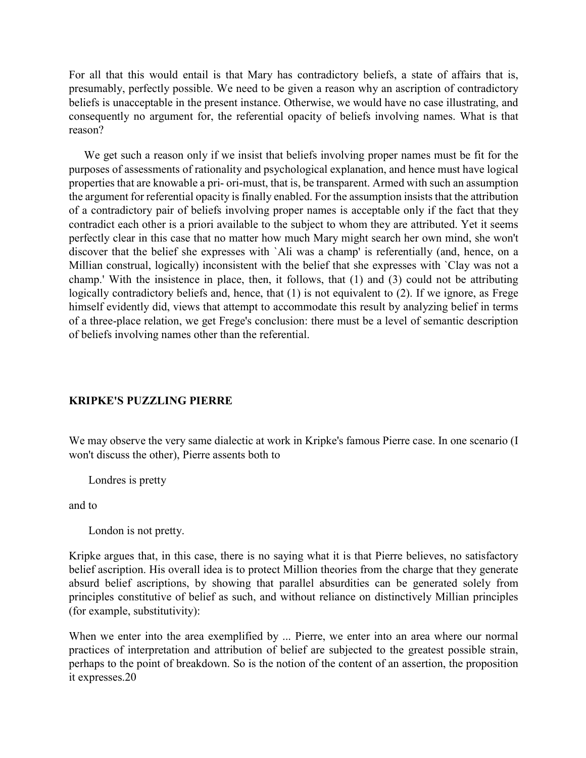For all that this would entail is that Mary has contradictory beliefs, a state of affairs that is, presumably, perfectly possible. We need to be given a reason why an ascription of contradictory beliefs is unacceptable in the present instance. Otherwise, we would have no case illustrating, and consequently no argument for, the referential opacity of beliefs involving names. What is that reason?

We get such a reason only if we insist that beliefs involving proper names must be fit for the purposes of assessments of rationality and psychological explanation, and hence must have logical properties that are knowable a pri- ori-must, that is, be transparent. Armed with such an assumption the argument for referential opacity is finally enabled. For the assumption insists that the attribution of a contradictory pair of beliefs involving proper names is acceptable only if the fact that they contradict each other is a priori available to the subject to whom they are attributed. Yet it seems perfectly clear in this case that no matter how much Mary might search her own mind, she won't discover that the belief she expresses with `Ali was a champ' is referentially (and, hence, on a Millian construal, logically) inconsistent with the belief that she expresses with `Clay was not a champ.' With the insistence in place, then, it follows, that (1) and (3) could not be attributing logically contradictory beliefs and, hence, that (1) is not equivalent to (2). If we ignore, as Frege himself evidently did, views that attempt to accommodate this result by analyzing belief in terms of a three-place relation, we get Frege's conclusion: there must be a level of semantic description of beliefs involving names other than the referential.

# KRIPKE'S PUZZLING PIERRE

We may observe the very same dialectic at work in Kripke's famous Pierre case. In one scenario (I won't discuss the other), Pierre assents both to

Londres is pretty

and to

London is not pretty.

Kripke argues that, in this case, there is no saying what it is that Pierre believes, no satisfactory belief ascription. His overall idea is to protect Million theories from the charge that they generate absurd belief ascriptions, by showing that parallel absurdities can be generated solely from principles constitutive of belief as such, and without reliance on distinctively Millian principles (for example, substitutivity):

When we enter into the area exemplified by ... Pierre, we enter into an area where our normal practices of interpretation and attribution of belief are subjected to the greatest possible strain, perhaps to the point of breakdown. So is the notion of the content of an assertion, the proposition it expresses.20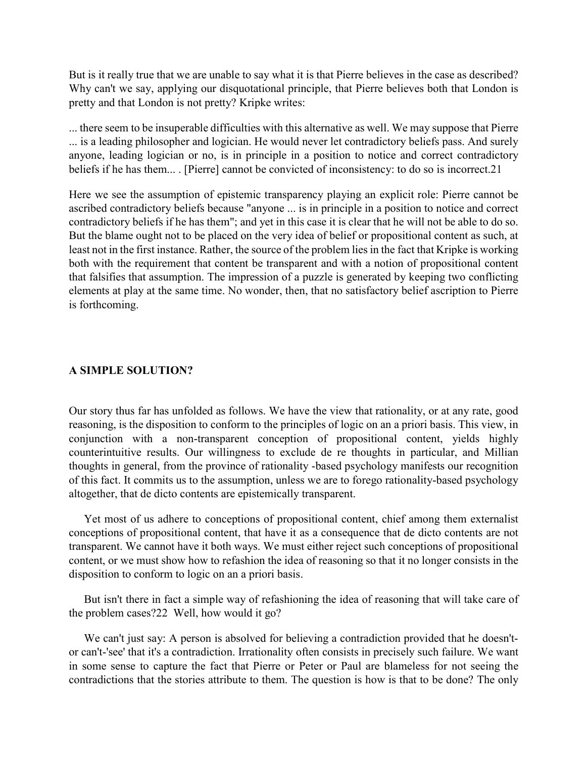But is it really true that we are unable to say what it is that Pierre believes in the case as described? Why can't we say, applying our disquotational principle, that Pierre believes both that London is pretty and that London is not pretty? Kripke writes:

... there seem to be insuperable difficulties with this alternative as well. We may suppose that Pierre ... is a leading philosopher and logician. He would never let contradictory beliefs pass. And surely anyone, leading logician or no, is in principle in a position to notice and correct contradictory beliefs if he has them... . [Pierre] cannot be convicted of inconsistency: to do so is incorrect.21

Here we see the assumption of epistemic transparency playing an explicit role: Pierre cannot be ascribed contradictory beliefs because "anyone ... is in principle in a position to notice and correct contradictory beliefs if he has them"; and yet in this case it is clear that he will not be able to do so. But the blame ought not to be placed on the very idea of belief or propositional content as such, at least not in the first instance. Rather, the source of the problem lies in the fact that Kripke is working both with the requirement that content be transparent and with a notion of propositional content that falsifies that assumption. The impression of a puzzle is generated by keeping two conflicting elements at play at the same time. No wonder, then, that no satisfactory belief ascription to Pierre is forthcoming.

# A SIMPLE SOLUTION?

Our story thus far has unfolded as follows. We have the view that rationality, or at any rate, good reasoning, is the disposition to conform to the principles of logic on an a priori basis. This view, in conjunction with a non-transparent conception of propositional content, yields highly counterintuitive results. Our willingness to exclude de re thoughts in particular, and Millian thoughts in general, from the province of rationality -based psychology manifests our recognition of this fact. It commits us to the assumption, unless we are to forego rationality-based psychology altogether, that de dicto contents are epistemically transparent.

Yet most of us adhere to conceptions of propositional content, chief among them externalist conceptions of propositional content, that have it as a consequence that de dicto contents are not transparent. We cannot have it both ways. We must either reject such conceptions of propositional content, or we must show how to refashion the idea of reasoning so that it no longer consists in the disposition to conform to logic on an a priori basis.

But isn't there in fact a simple way of refashioning the idea of reasoning that will take care of the problem cases?22 Well, how would it go?

We can't just say: A person is absolved for believing a contradiction provided that he doesn'tor can't-'see' that it's a contradiction. Irrationality often consists in precisely such failure. We want in some sense to capture the fact that Pierre or Peter or Paul are blameless for not seeing the contradictions that the stories attribute to them. The question is how is that to be done? The only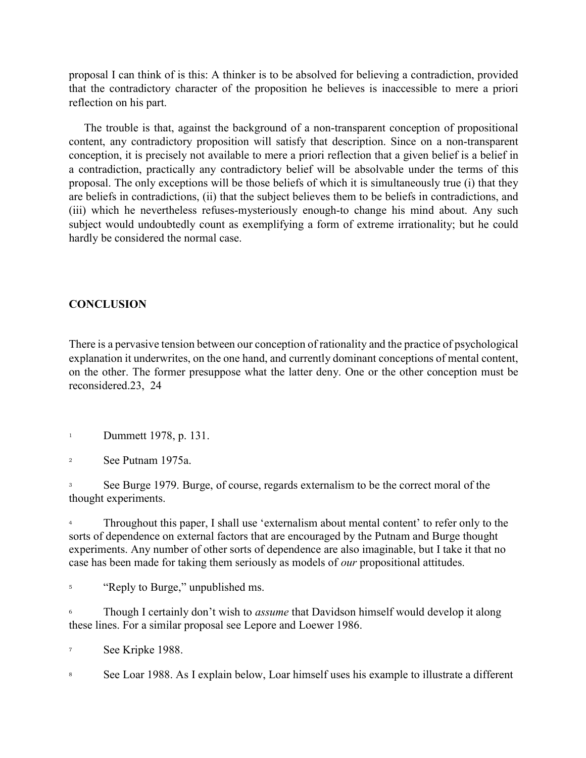proposal I can think of is this: A thinker is to be absolved for believing a contradiction, provided that the contradictory character of the proposition he believes is inaccessible to mere a priori reflection on his part.

The trouble is that, against the background of a non-transparent conception of propositional content, any contradictory proposition will satisfy that description. Since on a non-transparent conception, it is precisely not available to mere a priori reflection that a given belief is a belief in a contradiction, practically any contradictory belief will be absolvable under the terms of this proposal. The only exceptions will be those beliefs of which it is simultaneously true (i) that they are beliefs in contradictions, (ii) that the subject believes them to be beliefs in contradictions, and (iii) which he nevertheless refuses-mysteriously enough-to change his mind about. Any such subject would undoubtedly count as exemplifying a form of extreme irrationality; but he could hardly be considered the normal case.

# **CONCLUSION**

There is a pervasive tension between our conception of rationality and the practice of psychological explanation it underwrites, on the one hand, and currently dominant conceptions of mental content, on the other. The former presuppose what the latter deny. One or the other conception must be reconsidered.23, 24

<sup>1</sup> Dummett 1978, p. 131. 1 Dummett 1978, p. 131.

<sup>2</sup> See Putnam 1975a. 2 See Putnam 1975a.

<sup>3</sup> See Burge 1979. Burge, of course, regards externalism to be the correct moral of the thought experiments. mought experiments.

<sup>4</sup> Throughout this paper, I shall use 'externalism about mental content' to refer only to the sorts of dependence on external factors that are encouraged by the Putnam and Burge thought experiments. Any number of other sorts of dependence are also imaginable, but I take it that no case has been made for taking them seriously as models of *our* propositional attitudes. experiments. Any number of other s experiments. Any number of other sorts

<sup>5</sup> "Reply to Burge," unpublished ms.  $\frac{1}{5}$  "Reply to Burge," unpublish

<sup>6</sup> Though I certainly don't wish to *assume* that Davidson himself would develop it along these lines. For a similar proposal see Lepore and Loewer 1986.  $\frac{d}{dx}$ 

<sup>7</sup> See Kripke 1988. <sup>7</sup> See Kripk

8 See Loar 1988. As I explain below, Loar himself uses his example to illustrate a different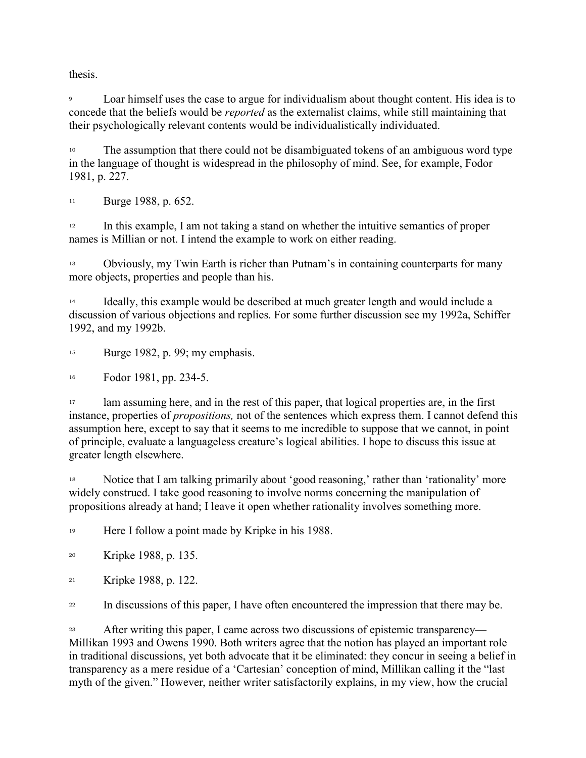thesis.

<sup>9</sup> Loar himself uses the case to argue for individualism about thought content. His idea is to 9 Loar himself uses the case to argue concede that the beliefs would be *reported* as the externalist claims, while still maintaining that their psychologically relevant contents would be individualistically individuated. concede that the beliefs would be claims, while still maintaining that the still maintain  $\mathcal{L}$ 

<sup>10</sup> The assumption that there could not be disambiguated tokens of an ambiguous word type in the language of thought is widespread in the philosophy of mind. See, for example, Fodor  $1981, p. 227.$  $10$  The assumption that there could not in the language of thought is wides See, for example, Fodor 1981, p. 227.

<sup>11</sup> Burge 1988, p. 652. 11 Burge 1988, p. 652.

<sup>12</sup> In this example, I am not taking a stand on whether the intuitive semantics of proper names is Millian or not. I intend the example to work on either reading. names is Millian or not. I inten

13 Obviously, my Twin Earth is richer than Putnam's in containing counterparts for many more objects, properties and people than his. more objects, properties and people

14 Ideally, this example would be described at much greater length and would include a discussion of various objections and replies. For some further discussion see my 1992a, Schiffer 1992, and my 1992b. discussion of various objections a discussion see my 1992a, Schiffer 1992,

 $15$  Burge 1982, p. 99; my emphasis.

<sup>16</sup> Fodor 1981, pp. 234-5. 16 Fodor 1981, pp. 234-5.

17 lam assuming here, and in the rest of this paper, that logical properties are, in the first instance, properties of *propositions*, not of the sentences which express them. I cannot defend this assumption here, except to say that it seems to me incredible to suppose that we cannot, in point of principle, evaluate a languageless creature's logical abilities. I hope to discuss this issue at greater length elsewhere. instance, properties of *propos* of principic, evaluate a failguagen

18 Notice that I am talking primarily about 'good reasoning,' rather than 'rationality' more widely construed. I take good reasoning to involve norms concerning the manipulation of propositions already at hand; I leave it open whether rationality involves something more. widely construed. I take good rease about the reason of the case of an widely construed. I take good re concerning the manipulation of

<sup>19</sup> Here I follow a point made by Kripke in his 1988. <sup>19</sup> Here I follow a point made b

<sup>20</sup> Kripke 1988, p. 135. 20 Kripke 1988, p. 135.

<sup>21</sup> Kripke 1988, p. 122. 21 Kripke 1988, p. 122.

<sup>22</sup> In discussions of this paper, I have often encountered the impression that there may be. often encountered the impression that

23 After writing this paper, I came across two discussions of epistemic transparency— Millikan 1993 and Owens 1990. Both writers agree that the notion has played an important role in traditional discussions, yet both advocate that it be eliminated: they concur in seeing a belief in transparency as a mere residue of a 'Cartesian' conception of mind, Millikan calling it the "last myth of the given." However, neither writer satisfactorily explains, in my view, how the crucial  $MIII$ Kan  $1993$  and Owens  $1990$ . Both myth of the given." However, n